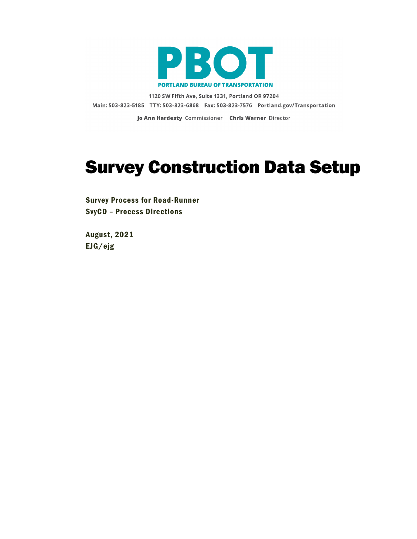

1120 SW Fifth Ave, Suite 1331, Portland OR 97204 Main: 503-823-5185 TTY: 503-823-6868 Fax: 503-823-7576 Portland.gov/Transportation

Jo Ann Hardesty Commissioner Chris Warner Director

# Survey Construction Data Setup

Survey Process for Road-Runner SvyCD – Process Directions

August, 2021 EJG/ejg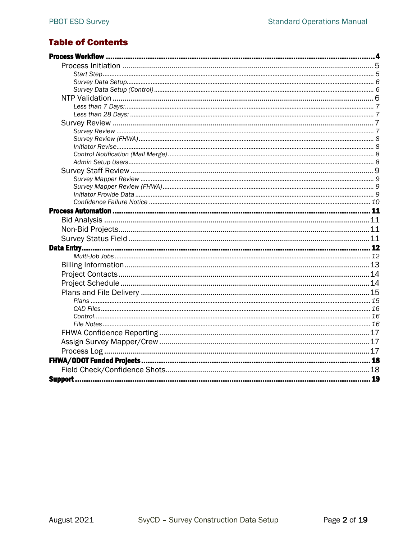# **Table of Contents**

| Data Entry. |  |
|-------------|--|
|             |  |
|             |  |
|             |  |
|             |  |
|             |  |
|             |  |
|             |  |
|             |  |
|             |  |
|             |  |
|             |  |
|             |  |
|             |  |
|             |  |
|             |  |
|             |  |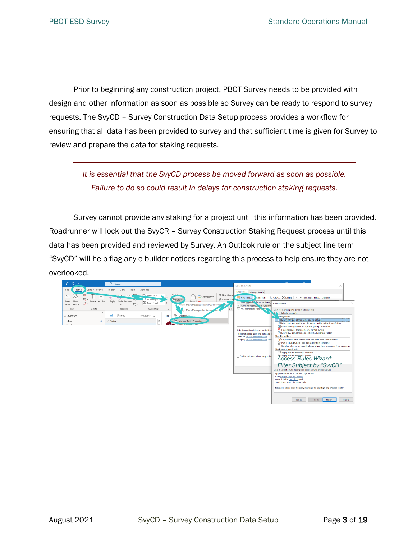Prior to beginning any construction project, PBOT Survey needs to be provided with design and other information as soon as possible so Survey can be ready to respond to survey requests. The SvyCD – Survey Construction Data Setup process provides a workflow for ensuring that all data has been provided to survey and that sufficient time is given for Survey to review and prepare the data for staking requests.

> *It is essential that the SvyCD process be moved forward as soon as possible. Failure to do so could result in delays for construction staking requests.*

Survey cannot provide any staking for a project until this information has been provided. Roadrunner will lock out the SvyCR – Survey Construction Staking Request process until this data has been provided and reviewed by Survey. An Outlook rule on the subject line term "SvyCD" will help flag any e-builder notices regarding this process to help ensure they are not overlooked.

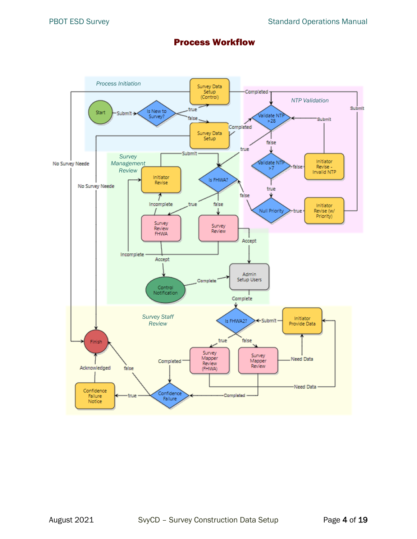# Process Workflow

<span id="page-3-0"></span>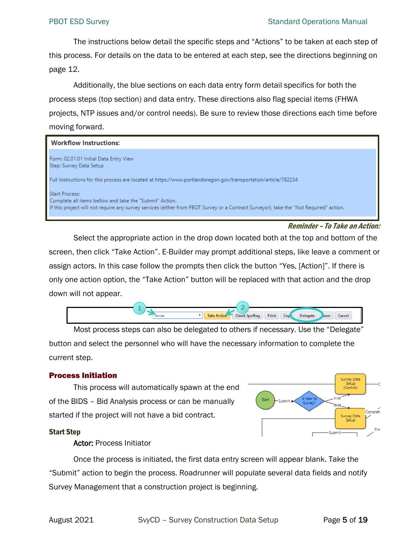The instructions below detail the specific steps and "Actions" to be taken at each step of this process. For details on the data to be entered at each step, see the directions beginning on page [12.](#page-11-0)

Additionally, the blue sections on each data entry form detail specifics for both the process steps (top section) and data entry. These directions also flag special items (FHWA projects, NTP issues and/or control needs). Be sure to review those directions each time before moving forward.

| <b>Workflow Instructions:</b>                                                                                                                                                                                              |
|----------------------------------------------------------------------------------------------------------------------------------------------------------------------------------------------------------------------------|
| Form: 02.01.01 Initial Data Entry View<br>Step: Survey Data Setup                                                                                                                                                          |
| Full Instructions for this process are located at https://www.portlandoregon.gov/transportation/article/782234                                                                                                             |
| <b>Start Process:</b><br>Complete all items bellow and take the "Submit" Action.<br>If this project will not require any survey services (either from PBOT Survey or a Contract Surveyor), take the "Not Required" action. |

#### Reminder – To Take an Action:

Select the appropriate action in the drop down located both at the top and bottom of the screen, then click "Take Action". E-Builder may prompt additional steps, like leave a comment or assign actors. In this case follow the prompts then click the button "Yes, [Action]". If there is only one action option, the "Take Action" button will be replaced with that action and the drop down will not appear.



Most process steps can also be delegated to others if necessary. Use the "Delegate" button and select the personnel who will have the necessary information to complete the current step.

## <span id="page-4-0"></span>Process Initiation

This process will automatically spawn at the end of the BIDS – Bid Analysis process or can be manually started if the project will not have a bid contract.



#### <span id="page-4-1"></span>Start Step

#### Actor: Process Initiator

Once the process is initiated, the first data entry screen will appear blank. Take the "Submit" action to begin the process. Roadrunner will populate several data fields and notify Survey Management that a construction project is beginning.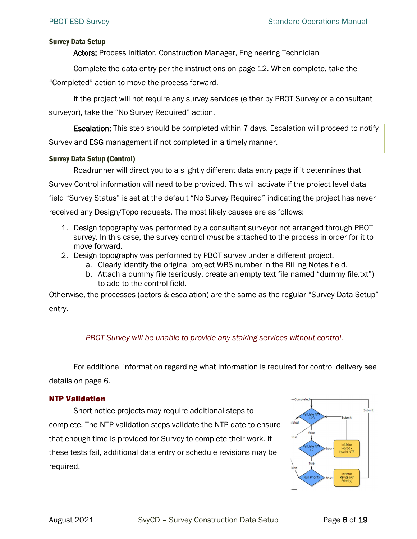#### <span id="page-5-0"></span>Survey Data Setup

Actors: Process Initiator, Construction Manager, Engineering Technician

Complete the data entry per the instructions on page [12.](#page-11-0) When complete, take the "Completed" action to move the process forward.

If the project will not require any survey services (either by PBOT Survey or a consultant surveyor), take the "No Survey Required" action.

Escalation: This step should be completed within 7 days. Escalation will proceed to notify Survey and ESG management if not completed in a timely manner.

## <span id="page-5-1"></span>Survey Data Setup (Control)

Roadrunner will direct you to a slightly different data entry page if it determines that Survey Control information will need to be provided. This will activate if the project level data field "Survey Status" is set at the default "No Survey Required" indicating the project has never received any Design/Topo requests. The most likely causes are as follows:

- 1. Design topography was performed by a consultant surveyor not arranged through PBOT survey. In this case, the survey control *must* be attached to the process in order for it to move forward.
- 2. Design topography was performed by PBOT survey under a different project.
	- a. Clearly identify the original project WBS number in the Billing Notes field.
	- b. Attach a dummy file (seriously, create an empty text file named "dummy file.txt") to add to the control field.

Otherwise, the processes (actors & escalation) are the same as the regular "Survey Data Setup" entry.

## *PBOT Survey will be unable to provide any staking services without control.*

For additional information regarding what information is required for control delivery see details on page [6.](#page-5-1)

## <span id="page-5-2"></span>NTP Validation

Short notice projects may require additional steps to complete. The NTP validation steps validate the NTP date to ensure that enough time is provided for Survey to complete their work. If these tests fail, additional data entry or schedule revisions may be required.

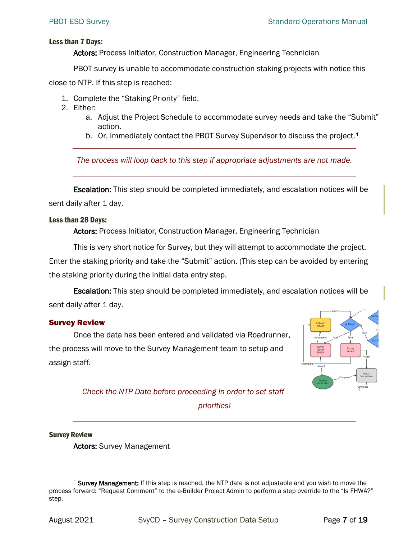#### <span id="page-6-0"></span>Less than 7 Days:

Actors: Process Initiator, Construction Manager, Engineering Technician

PBOT survey is unable to accommodate construction staking projects with notice this

close to NTP. If this step is reached:

- 1. Complete the "Staking Priority" field.
- 2. Either:
	- a. Adjust the Project Schedule to accommodate survey needs and take the "Submit" action.
	- b. Or, immediately contact the PBOT Survey Supervisor to discuss the project.<sup>[1](#page-6-4)</sup>

*The process will loop back to this step if appropriate adjustments are not made.*

Escalation: This step should be completed immediately, and escalation notices will be sent daily after 1 day.

#### <span id="page-6-1"></span>Less than 28 Days:

Actors: Process Initiator, Construction Manager, Engineering Technician

This is very short notice for Survey, but they will attempt to accommodate the project.

Enter the staking priority and take the "Submit" action. (This step can be avoided by entering the staking priority during the initial data entry step.

Escalation: This step should be completed immediately, and escalation notices will be sent daily after 1 day.

#### <span id="page-6-2"></span>Survey Review

Once the data has been entered and validated via Roadrunner, the process will move to the Survey Management team to setup and assign staff.



*Check the NTP Date before proceeding in order to set staff* 

*priorities!*

#### <span id="page-6-3"></span>Survey Review

Actors: Survey Management

<span id="page-6-4"></span> $1$  Survey Management: If this step is reached, the NTP date is not adjustable and you wish to move the process forward: "Request Comment" to the e-Builder Project Admin to perform a step override to the "Is FHWA?" step.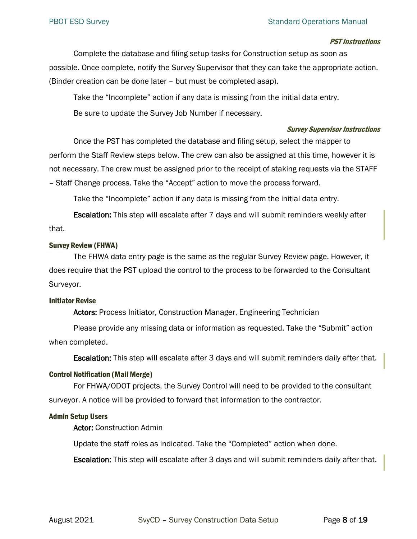#### PST Instructions

Complete the database and filing setup tasks for Construction setup as soon as possible. Once complete, notify the Survey Supervisor that they can take the appropriate action. (Binder creation can be done later – but must be completed asap).

Take the "Incomplete" action if any data is missing from the initial data entry.

Be sure to update the Survey Job Number if necessary.

#### Survey Supervisor Instructions

Once the PST has completed the database and filing setup, select the mapper to perform the Staff Review steps below. The crew can also be assigned at this time, however it is not necessary. The crew must be assigned prior to the receipt of staking requests via the STAFF – Staff Change process. Take the "Accept" action to move the process forward.

Take the "Incomplete" action if any data is missing from the initial data entry.

Escalation: This step will escalate after 7 days and will submit reminders weekly after that.

#### <span id="page-7-0"></span>Survey Review (FHWA)

The FHWA data entry page is the same as the regular Survey Review page. However, it does require that the PST upload the control to the process to be forwarded to the Consultant Surveyor.

#### <span id="page-7-1"></span>Initiator Revise

Actors: Process Initiator, Construction Manager, Engineering Technician

Please provide any missing data or information as requested. Take the "Submit" action when completed.

**Escalation:** This step will escalate after 3 days and will submit reminders daily after that.

#### <span id="page-7-2"></span>Control Notification (Mail Merge)

For FHWA/ODOT projects, the Survey Control will need to be provided to the consultant surveyor. A notice will be provided to forward that information to the contractor.

#### <span id="page-7-3"></span>Admin Setup Users

Actor: Construction Admin

Update the staff roles as indicated. Take the "Completed" action when done.

**Escalation:** This step will escalate after 3 days and will submit reminders daily after that.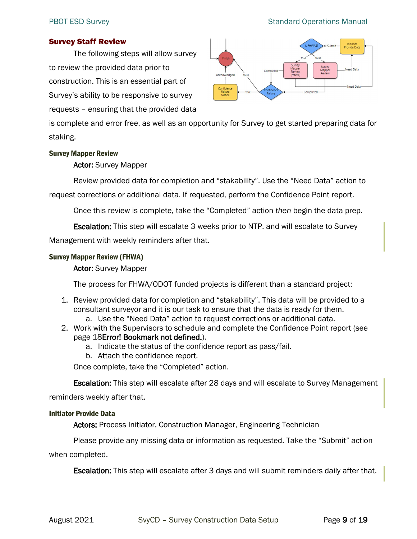#### PBOT ESD Survey **Standard Operations Manual**

#### <span id="page-8-0"></span>Survey Staff Review

The following steps will allow survey to review the provided data prior to construction. This is an essential part of Survey's ability to be responsive to survey requests – ensuring that the provided data



is complete and error free, as well as an opportunity for Survey to get started preparing data for staking.

#### <span id="page-8-1"></span>Survey Mapper Review

#### Actor: Survey Mapper

Review provided data for completion and "stakability". Use the "Need Data" action to request corrections or additional data. If requested, perform the Confidence Point report.

Once this review is complete, take the "Completed" action *then* begin the data prep.

Escalation: This step will escalate 3 weeks prior to NTP, and will escalate to Survey

Management with weekly reminders after that.

#### <span id="page-8-2"></span>Survey Mapper Review (FHWA)

#### Actor: Survey Mapper

The process for FHWA/ODOT funded projects is different than a standard project:

- 1. Review provided data for completion and "stakability". This data will be provided to a consultant surveyor and it is our task to ensure that the data is ready for them.
	- a. Use the "Need Data" action to request corrections or additional data.
- 2. Work with the Supervisors to schedule and complete the Confidence Point report (see page [18E](#page-17-1)rror! Bookmark not defined.).
	- a. Indicate the status of the confidence report as pass/fail.
	- b. Attach the confidence report.

Once complete, take the "Completed" action.

**Escalation:** This step will escalate after 28 days and will escalate to Survey Management

reminders weekly after that.

#### <span id="page-8-3"></span>Initiator Provide Data

Actors: Process Initiator, Construction Manager, Engineering Technician

Please provide any missing data or information as requested. Take the "Submit" action when completed.

**Escalation:** This step will escalate after 3 days and will submit reminders daily after that.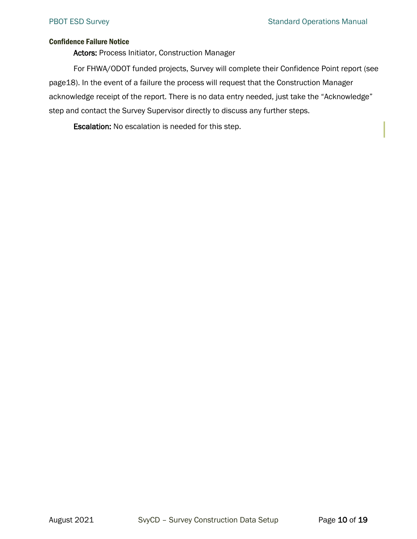#### <span id="page-9-0"></span>Confidence Failure Notice

Actors: Process Initiator, Construction Manager

For FHWA/ODOT funded projects, Survey will complete their Confidence Point report (see pag[e18\)](#page-17-1). In the event of a failure the process will request that the Construction Manager acknowledge receipt of the report. There is no data entry needed, just take the "Acknowledge" step and contact the Survey Supervisor directly to discuss any further steps.

Escalation: No escalation is needed for this step.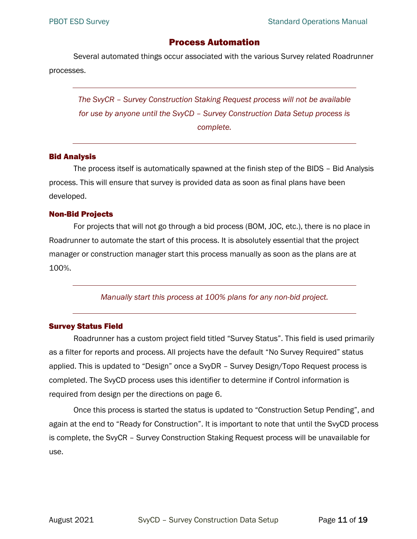# Process Automation

<span id="page-10-0"></span>Several automated things occur associated with the various Survey related Roadrunner processes.

*The SvyCR – Survey Construction Staking Request process will not be available for use by anyone until the SvyCD – Survey Construction Data Setup process is complete.*

#### <span id="page-10-1"></span>Bid Analysis

The process itself is automatically spawned at the finish step of the BIDS – Bid Analysis process. This will ensure that survey is provided data as soon as final plans have been developed.

#### <span id="page-10-2"></span>Non-Bid Projects

For projects that will not go through a bid process (BOM, JOC, etc.), there is no place in Roadrunner to automate the start of this process. It is absolutely essential that the project manager or construction manager start this process manually as soon as the plans are at 100%.

*Manually start this process at 100% plans for any non-bid project.*

#### <span id="page-10-3"></span>Survey Status Field

Roadrunner has a custom project field titled "Survey Status". This field is used primarily as a filter for reports and process. All projects have the default "No Survey Required" status applied. This is updated to "Design" once a SvyDR – Survey Design/Topo Request process is completed. The SvyCD process uses this identifier to determine if Control information is required from design per the directions on page [6.](#page-5-1)

Once this process is started the status is updated to "Construction Setup Pending", and again at the end to "Ready for Construction". It is important to note that until the SvyCD process is complete, the SvyCR – Survey Construction Staking Request process will be unavailable for use.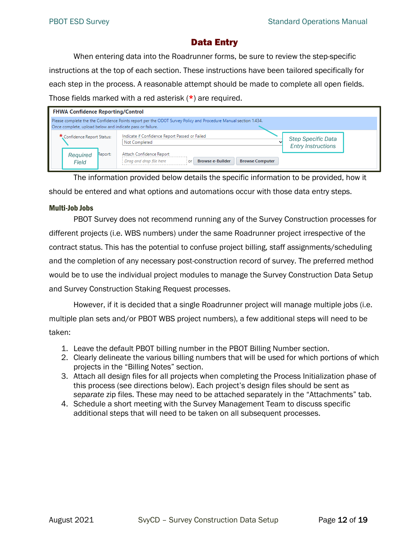# Data Entry

<span id="page-11-0"></span>When entering data into the Roadrunner forms, be sure to review the step-specific instructions at the top of each section. These instructions have been tailored specifically for each step in the process. A reasonable attempt should be made to complete all open fields. Those fields marked with a red asterisk (\*) are required.

| <b>FHWA Confidence Reporting/Control</b>                    |                                                                                                                                                                                                                                             |
|-------------------------------------------------------------|---------------------------------------------------------------------------------------------------------------------------------------------------------------------------------------------------------------------------------------------|
| Once complete, upload below and indicate pass or failure.   | Please complete the the Confidence Points report per the ODOT Survey Policy and Procedure Manual section 1.434.                                                                                                                             |
| * Confidence Report Status:<br>Report:<br>Required<br>Field | Indicate if Confidence Report Passed or Failed<br><b>Step Specific Data</b><br>Not Completed<br><b>Entry Instructions</b><br>Attach Confidence Report<br><b>Browse e-Builder</b><br>Drag and drop file here<br><b>Browse Computer</b><br>or |

The information provided below details the specific information to be provided, how it should be entered and what options and automations occur with those data entry steps.

#### <span id="page-11-1"></span>Multi-Job Jobs

PBOT Survey does not recommend running any of the Survey Construction processes for different projects (i.e. WBS numbers) under the same Roadrunner project irrespective of the contract status. This has the potential to confuse project billing, staff assignments/scheduling and the completion of any necessary post-construction record of survey. The preferred method would be to use the individual project modules to manage the Survey Construction Data Setup and Survey Construction Staking Request processes.

However, if it is decided that a single Roadrunner project will manage multiple jobs (i.e. multiple plan sets and/or PBOT WBS project numbers), a few additional steps will need to be taken:

- 1. Leave the default PBOT billing number in the PBOT Billing Number section.
- 2. Clearly delineate the various billing numbers that will be used for which portions of which projects in the "Billing Notes" section.
- 3. Attach all design files for all projects when completing the Process Initialization phase of this process (see directions below). Each project's design files should be sent as *separate* zip files. These may need to be attached separately in the "Attachments" tab.
- 4. Schedule a short meeting with the Survey Management Team to discuss specific additional steps that will need to be taken on all subsequent processes.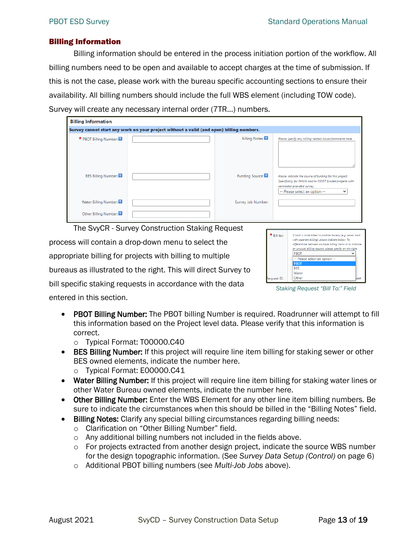#### <span id="page-12-0"></span>Billing Information

Billing information should be entered in the process initiation portion of the workflow. All billing numbers need to be open and available to accept charges at the time of submission. If this is not the case, please work with the bureau specific accounting sections to ensure their availability. All billing numbers should include the full WBS element (including TOW code). Survey will create any necessary internal order (7TR…) numbers.

| <b>Billing Information</b> |                                                                                          |                       |                                                                                                                                                                                   |  |
|----------------------------|------------------------------------------------------------------------------------------|-----------------------|-----------------------------------------------------------------------------------------------------------------------------------------------------------------------------------|--|
|                            | Survey cannot start any work on your project without a valid (and open) billing numbers. |                       |                                                                                                                                                                                   |  |
| * PBOT Billing Number:     |                                                                                          | <b>Billing Notes:</b> | Please specify any billing related issues/comments here.                                                                                                                          |  |
| <b>BES Billing Number:</b> |                                                                                          | Funding Source:       | Please indicate the source of funding for this project.<br>Specifically for FHWA and/or ODOT funded projects with<br>contractor provided survey.<br>-- Please select an option -- |  |
| Water Billing Number:      |                                                                                          | Survey Job Number:    |                                                                                                                                                                                   |  |
| Other Billing Number:      |                                                                                          |                       |                                                                                                                                                                                   |  |

The SvyCR - Survey Construction Staking Request

process will contain a drop-down menu to select the appropriate billing for projects with billing to multiple bureaus as illustrated to the right. This will direct Survey to bill specific staking requests in accordance with the data entered in this section.

| * Bill to:: | If work is to be billed to another bureau (e.g. sewer work<br>with separate billing), please indicate below. To<br>differentiate between multiple billing items or to indicate<br>an unusual billing request, please specify on the right. |      |
|-------------|--------------------------------------------------------------------------------------------------------------------------------------------------------------------------------------------------------------------------------------------|------|
|             | <b>PBOT</b>                                                                                                                                                                                                                                |      |
|             | -- Please select an option --                                                                                                                                                                                                              |      |
|             | <b>PROT</b>                                                                                                                                                                                                                                |      |
|             | <b>RES</b>                                                                                                                                                                                                                                 |      |
|             | Water                                                                                                                                                                                                                                      |      |
| Request ID: | Other                                                                                                                                                                                                                                      | west |

*Staking Request "Bill To:" Field*

- PBOT Billing Number: The PBOT billing Number is required. Roadrunner will attempt to fill this information based on the Project level data. Please verify that this information is correct.
	- o Typical Format: T00000.C40
- BES Billing Number: If this project will require line item billing for staking sewer or other BES owned elements, indicate the number here.
	- o Typical Format: E00000.C41
- Water Billing Number: If this project will require line item billing for staking water lines or other Water Bureau owned elements, indicate the number here.
- Other Billing Number: Enter the WBS Element for any other line item billing numbers. Be sure to indicate the circumstances when this should be billed in the "Billing Notes" field.
- Billing Notes: Clarify any special billing circumstances regarding billing needs:
	- o Clarification on "Other Billing Number" field.
	- o Any additional billing numbers not included in the fields above.
	- $\circ$  For projects extracted from another design project, indicate the source WBS number for the design topographic information. (See *[Survey Data Setup \(Control\)](#page-5-1)* on page [6\)](#page-5-1)
	- o Additional PBOT billing numbers (see *[Multi-Job Jobs](#page-11-1)* [above\)](#page-11-1).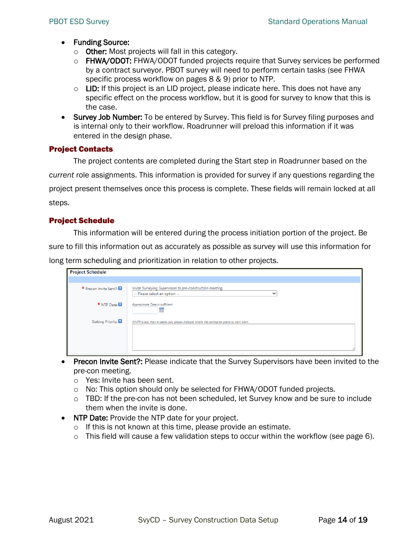- Funding Source:
	- o Other: Most projects will fall in this category.
	- o FHWA/ODOT: FHWA/ODOT funded projects require that Survey services be performed by a contract surveyor. PBOT survey will need to perform certain tasks (see FHWA specific process workflow on pages [8](#page-7-0) & [9\)](#page-8-2) prior to NTP.
	- $\circ$  LID: If this project is an LID project, please indicate here. This does not have any specific effect on the process workflow, but it is good for survey to know that this is the case.
- Survey Job Number: To be entered by Survey. This field is for Survey filing purposes and is internal only to their workflow. Roadrunner will preload this information if it was entered in the design phase.

#### <span id="page-13-0"></span>Project Contacts

The project contents are completed during the Start step in Roadrunner based on the *current* role assignments. This information is provided for survey if any questions regarding the project present themselves once this process is complete. These fields will remain locked at all steps.

## <span id="page-13-1"></span>Project Schedule

This information will be entered during the process initiation portion of the project. Be sure to fill this information out as accurately as possible as survey will use this information for long term scheduling and prioritization in relation to other projects.

| <b>Project Schedule</b> |                                                                                                            |
|-------------------------|------------------------------------------------------------------------------------------------------------|
|                         |                                                                                                            |
| * Precon Invite Sent?:  | Invite Surveying Supervisors to pre-construction meeting.<br>-- Please select an option --<br>$\checkmark$ |
| * NTP Date:             | Approximate Date is sufficient.<br>靁                                                                       |
| Staking Priority:       | If NTP is less than 4 weeks out, please indicate where the contractor plans to start work.                 |
|                         |                                                                                                            |

- Precon Invite Sent?: Please indicate that the Survey Supervisors have been invited to the pre-con meeting.
	- o Yes: Invite has been sent.
	- o No: This option should only be selected for FHWA/ODOT funded projects.
	- $\circ$  TBD: If the pre-con has not been scheduled, let Survey know and be sure to include them when the invite is done.
- NTP Date: Provide the NTP date for your project.
	- o If this is not known at this time, please provide an estimate.
	- o This field will cause a few validation steps to occur within the workflow (see page [6\)](#page-5-2).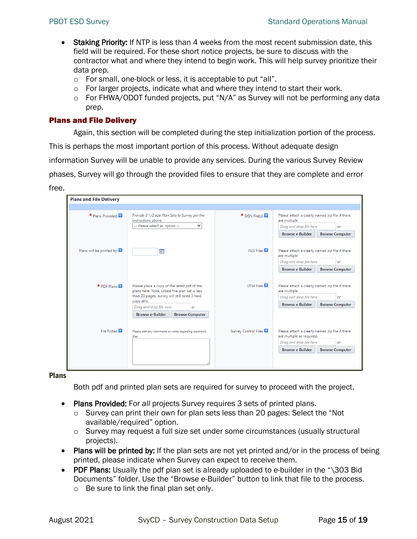- Staking Priority: If NTP is less than 4 weeks from the most recent submission date, this field will be required. For these short notice projects, be sure to discuss with the contractor what and where they intend to begin work. This will help survey prioritize their data prep.
	- o For small, one-block or less, it is acceptable to put "all".
	- $\circ$  For larger projects, indicate what and where they intend to start their work.
	- o For FHWA/ODOT funded projects, put "N/A" as Survey will not be performing any data prep.

#### <span id="page-14-0"></span>Plans and File Delivery

Again, this section will be completed during the step initialization portion of the process.

This is perhaps the most important portion of this process. Without adequate design

information Survey will be unable to provide any services. During the various Survey Review

phases, Survey will go through the provided files to ensure that they are complete and error

free.

| <b>Plans and File Delivery</b>                                                                                                                                                      |                                                                                                        |                       |                                                                                                               |  |
|-------------------------------------------------------------------------------------------------------------------------------------------------------------------------------------|--------------------------------------------------------------------------------------------------------|-----------------------|---------------------------------------------------------------------------------------------------------------|--|
|                                                                                                                                                                                     |                                                                                                        |                       |                                                                                                               |  |
| * Plans Provided:                                                                                                                                                                   | Provide 3 1/2 size Plan Sets to Survey per the<br>instructions above.<br>-- Please select an option -- |                       | Please attach a clearly named zip file if there<br>are multiple<br>Drag and drop file here<br>or              |  |
|                                                                                                                                                                                     |                                                                                                        |                       | <b>Browse e-Builder</b><br><b>Browse Computer</b>                                                             |  |
| Plans will be printed by:                                                                                                                                                           | 扁                                                                                                      | ALG Files:            | Please attach a clearly named zip file if there<br>are multiple                                               |  |
|                                                                                                                                                                                     |                                                                                                        |                       | Drag and drop file here<br>or                                                                                 |  |
|                                                                                                                                                                                     |                                                                                                        |                       | <b>Browse e-Builder</b><br><b>Browse Computer</b>                                                             |  |
| * PDF Plane <b>P</b><br>Please place a copy of the latest pdf of the<br>plans here. Note, unless the plan set is less<br>than 20 pages, survey will still need 3 hard<br>copy sets. |                                                                                                        | DTM Files:            | Please attach a clearly named zip file if there<br>are multiple<br>Drag and drop file here<br>or              |  |
|                                                                                                                                                                                     | Drag and drop file here<br>or                                                                          |                       | <b>Browse e-Builder</b><br><b>Browse Computer</b>                                                             |  |
|                                                                                                                                                                                     | <b>Browse e-Builder</b><br><b>Browse Computer</b>                                                      |                       |                                                                                                               |  |
| File Notes:                                                                                                                                                                         | Please add any comments or notes regarding electronic<br>files.                                        | Survey Control Files: | Please attach a clearly named zip file if there<br>are multiple as required.<br>Drag and drop file here<br>or |  |
|                                                                                                                                                                                     |                                                                                                        |                       | <b>Browse e-Builder</b><br><b>Browse Computer</b>                                                             |  |

<span id="page-14-1"></span>Plans

Both pdf and printed plan sets are required for survey to proceed with the project.

- Plans Provided: For *all* projects Survey requires 3 sets of printed plans.
	- $\circ$  Survey can print their own for plan sets less than 20 pages: Select the "Not available/required" option.
	- $\circ$  Survey may request a full size set under some circumstances (usually structural projects).
- Plans will be printed by: If the plan sets are not yet printed and/or in the process of being printed, please indicate when Survey can expect to receive them.
- PDF Plans: Usually the pdf plan set is already uploaded to e-builder in the "\303 Bid Documents" folder. Use the "Browse e-Builder" button to link that file to the process.
	- o Be sure to link the final plan set only.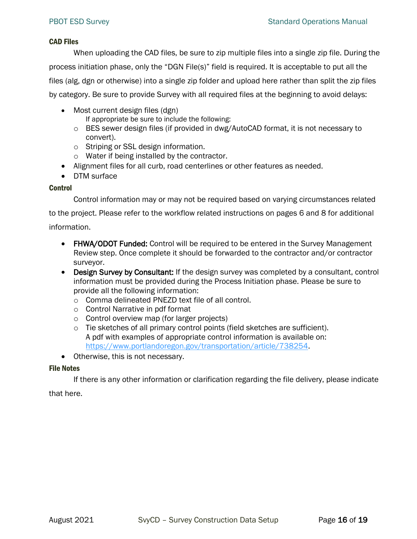#### <span id="page-15-0"></span>CAD Files

When uploading the CAD files, be sure to zip multiple files into a single zip file. During the process initiation phase, only the "DGN File(s)" field is required. It is acceptable to put all the files (alg, dgn or otherwise) into a single zip folder and upload here rather than split the zip files by category. Be sure to provide Survey with all required files at the beginning to avoid delays:

• Most current design files (dgn)

If appropriate be sure to include the following:

- $\circ$  BES sewer design files (if provided in dwg/AutoCAD format, it is not necessary to convert).
- o Striping or SSL design information.
- o Water if being installed by the contractor.
- Alignment files for all curb, road centerlines or other features as needed.
- DTM surface

#### <span id="page-15-1"></span>Control

Control information may or may not be required based on varying circumstances related

to the project. Please refer to the workflow related instructions on pages [6](#page-5-1) and [8](#page-7-0) for additional information.

- FHWA/ODOT Funded: Control will be required to be entered in the Survey Management Review step. Once complete it should be forwarded to the contractor and/or contractor surveyor.
- Design Survey by Consultant: If the design survey was completed by a consultant, control information must be provided during the Process Initiation phase. Please be sure to provide all the following information:
	- o Comma delineated PNEZD text file of all control.
	- o Control Narrative in pdf format
	- o Control overview map (for larger projects)
	- o Tie sketches of all primary control points (field sketches are sufficient). A pdf with examples of appropriate control information is available on: [https://www.portlandoregon.gov/transportation/article/738254.](https://www.portlandoregon.gov/transportation/article/738254)
- Otherwise, this is not necessary.

#### <span id="page-15-2"></span>File Notes

If there is any other information or clarification regarding the file delivery, please indicate

that here.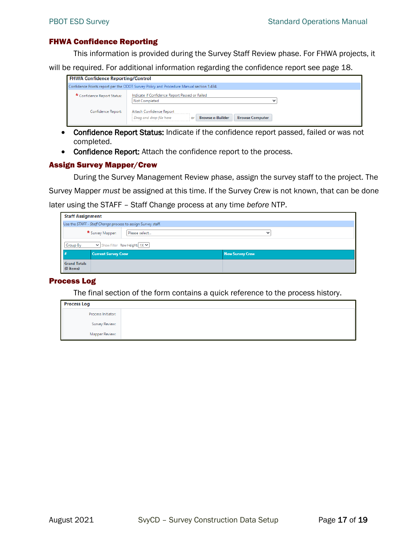#### <span id="page-16-0"></span>FHWA Confidence Reporting

This information is provided during the Survey Staff Review phase. For FHWA projects, it

will be required. For additional information regarding the confidence report see page [18.](#page-17-1)

| <b>FHWA Confidence Reporting/Control</b>                                                |                                                                                                                |  |  |
|-----------------------------------------------------------------------------------------|----------------------------------------------------------------------------------------------------------------|--|--|
| Confidence Points report per the ODOT Survey Policy and Procedure Manual section 1.434. |                                                                                                                |  |  |
| * Confidence Report Status:                                                             | Indicate if Confidence Report Passed or Failed<br>Not Completed<br>$\check{ }$                                 |  |  |
| Confidence Report:                                                                      | Attach Confidence Report<br><b>Browse e-Builder</b><br>Drag and drop file here<br><b>Browse Computer</b><br>or |  |  |

- Confidence Report Status: Indicate if the confidence report passed, failed or was not completed.
- Confidence Report: Attach the confidence report to the process.

#### <span id="page-16-1"></span>Assign Survey Mapper/Crew

During the Survey Management Review phase, assign the survey staff to the project. The

Survey Mapper *must* be assigned at this time. If the Survey Crew is not known, that can be done

later using the STAFF – Staff Change process at any time *before* NTP.

| <b>Staff Assignment</b>                                      |                                                  |  |                        |
|--------------------------------------------------------------|--------------------------------------------------|--|------------------------|
| Use the STAFF - Staff Change process to assign Survey staff. |                                                  |  |                        |
|                                                              | * Survey Mapper:<br>Please select<br>$\check{ }$ |  |                        |
| $\vee$ Show Filter Row Height: 1X $\vee$<br>Group By         |                                                  |  |                        |
|                                                              | <b>Current Survey Crew</b>                       |  | <b>New Survey Crew</b> |
| <b>Grand Totals</b><br>$(0$ items)                           |                                                  |  |                        |

#### <span id="page-16-2"></span>Process Log

The final section of the form contains a quick reference to the process history.

| <b>Process Log</b> |  |
|--------------------|--|
| Process Initiator: |  |
| Survey Review:     |  |
| Mapper Review:     |  |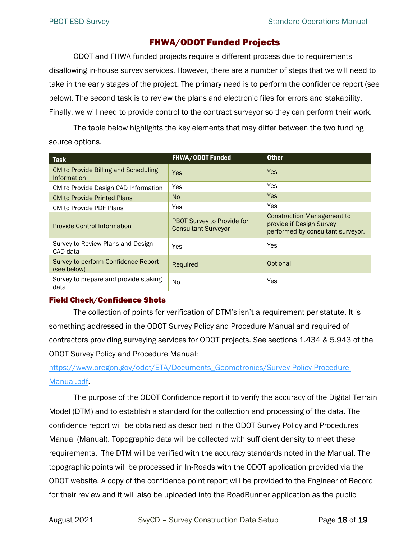# FHWA/ODOT Funded Projects

<span id="page-17-0"></span>ODOT and FHWA funded projects require a different process due to requirements disallowing in-house survey services. However, there are a number of steps that we will need to take in the early stages of the project. The primary need is to perform the confidence report (see [below\)](#page-17-1). The second task is to review the plans and electronic files for errors and stakability. Finally, we will need to provide control to the contract surveyor so they can perform their work.

The table below highlights the key elements that may differ between the two funding source options.

| <b>Task</b>                                         | <b>FHWA/ODOT Funded</b>                                  | <b>Other</b>                                                                                |
|-----------------------------------------------------|----------------------------------------------------------|---------------------------------------------------------------------------------------------|
| CM to Provide Billing and Scheduling<br>Information | <b>Yes</b>                                               | <b>Yes</b>                                                                                  |
| CM to Provide Design CAD Information                | Yes                                                      | Yes                                                                                         |
| <b>CM to Provide Printed Plans</b>                  | N <sub>o</sub>                                           | <b>Yes</b>                                                                                  |
| CM to Provide PDF Plans                             | Yes                                                      | Yes                                                                                         |
| <b>Provide Control Information</b>                  | PBOT Survey to Provide for<br><b>Consultant Surveyor</b> | Construction Management to<br>provide if Design Survey<br>performed by consultant surveyor. |
| Survey to Review Plans and Design<br>CAD data       | Yes                                                      | Yes                                                                                         |
| Survey to perform Confidence Report<br>(see below)  | Required                                                 | Optional                                                                                    |
| Survey to prepare and provide staking<br>data       | No.                                                      | Yes                                                                                         |

## <span id="page-17-1"></span>Field Check/Confidence Shots

The collection of points for verification of DTM's isn't a requirement per statute. It is something addressed in the ODOT Survey Policy and Procedure Manual and required of contractors providing surveying services for ODOT projects. See sections 1.434 & 5.943 of the ODOT Survey Policy and Procedure Manual:

[https://www.oregon.gov/odot/ETA/Documents\\_Geometronics/Survey-Policy-Procedure-](https://www.oregon.gov/odot/ETA/Documents_Geometronics/Survey-Policy-Procedure-Manual.pdf)[Manual.pdf.](https://www.oregon.gov/odot/ETA/Documents_Geometronics/Survey-Policy-Procedure-Manual.pdf)

The purpose of the ODOT Confidence report it to verify the accuracy of the Digital Terrain Model (DTM) and to establish a standard for the collection and processing of the data. The confidence report will be obtained as described in the ODOT Survey Policy and Procedures Manual (Manual). Topographic data will be collected with sufficient density to meet these requirements. The DTM will be verified with the accuracy standards noted in the Manual. The topographic points will be processed in In-Roads with the ODOT application provided via the ODOT website. A copy of the confidence point report will be provided to the Engineer of Record for their review and it will also be uploaded into the RoadRunner application as the public